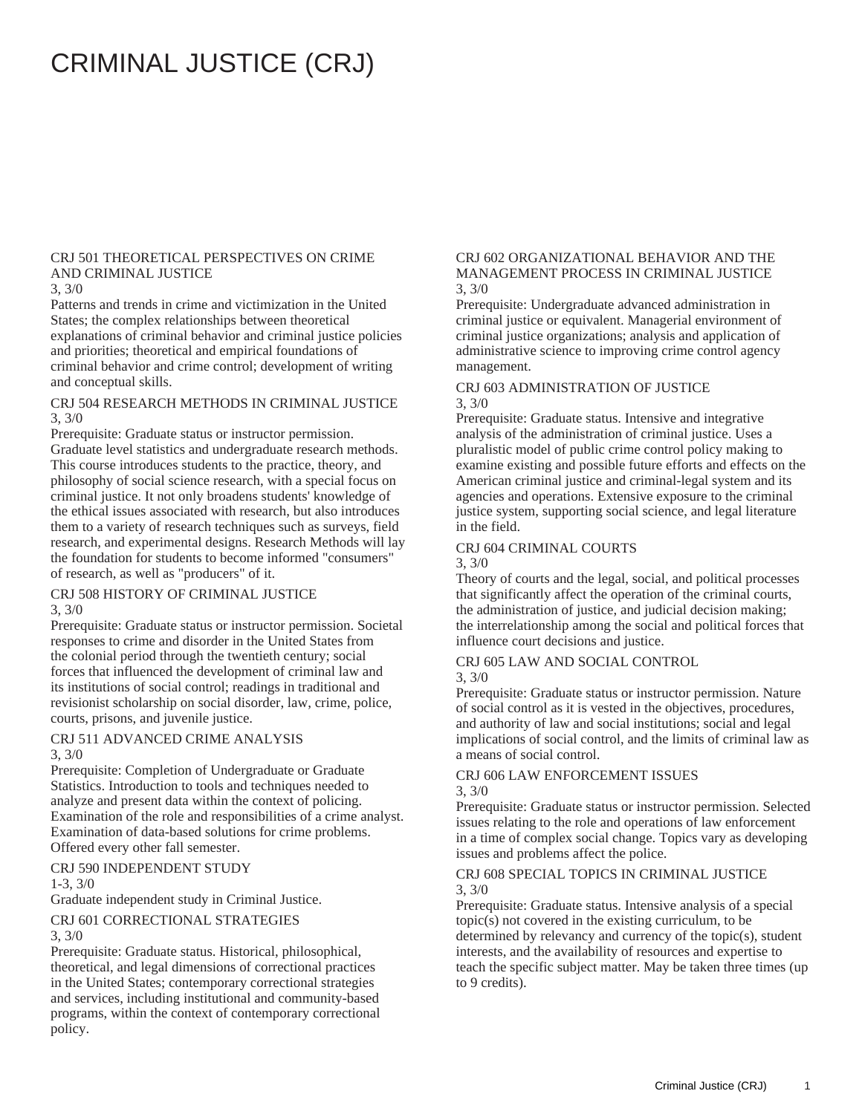# CRIMINAL JUSTICE (CRJ)

#### CRJ 501 THEORETICAL PERSPECTIVES ON CRIME AND CRIMINAL JUSTICE

#### 3, 3/0

Patterns and trends in crime and victimization in the United States; the complex relationships between theoretical explanations of criminal behavior and criminal justice policies and priorities; theoretical and empirical foundations of criminal behavior and crime control; development of writing and conceptual skills.

#### CRJ 504 RESEARCH METHODS IN CRIMINAL JUSTICE 3, 3/0

Prerequisite: Graduate status or instructor permission. Graduate level statistics and undergraduate research methods. This course introduces students to the practice, theory, and philosophy of social science research, with a special focus on criminal justice. It not only broadens students' knowledge of the ethical issues associated with research, but also introduces them to a variety of research techniques such as surveys, field research, and experimental designs. Research Methods will lay the foundation for students to become informed "consumers" of research, as well as "producers" of it.

#### CRJ 508 HISTORY OF CRIMINAL JUSTICE 3, 3/0

Prerequisite: Graduate status or instructor permission. Societal responses to crime and disorder in the United States from the colonial period through the twentieth century; social forces that influenced the development of criminal law and its institutions of social control; readings in traditional and revisionist scholarship on social disorder, law, crime, police, courts, prisons, and juvenile justice.

#### CRJ 511 ADVANCED CRIME ANALYSIS 3, 3/0

Prerequisite: Completion of Undergraduate or Graduate Statistics. Introduction to tools and techniques needed to analyze and present data within the context of policing. Examination of the role and responsibilities of a crime analyst. Examination of data-based solutions for crime problems. Offered every other fall semester.

## CRJ 590 INDEPENDENT STUDY

#### 1-3, 3/0

Graduate independent study in Criminal Justice.

#### CRJ 601 CORRECTIONAL STRATEGIES 3, 3/0

Prerequisite: Graduate status. Historical, philosophical, theoretical, and legal dimensions of correctional practices in the United States; contemporary correctional strategies and services, including institutional and community-based programs, within the context of contemporary correctional policy.

#### CRJ 602 ORGANIZATIONAL BEHAVIOR AND THE MANAGEMENT PROCESS IN CRIMINAL JUSTICE 3, 3/0

Prerequisite: Undergraduate advanced administration in criminal justice or equivalent. Managerial environment of criminal justice organizations; analysis and application of administrative science to improving crime control agency management.

#### CRJ 603 ADMINISTRATION OF JUSTICE 3, 3/0

Prerequisite: Graduate status. Intensive and integrative analysis of the administration of criminal justice. Uses a pluralistic model of public crime control policy making to examine existing and possible future efforts and effects on the American criminal justice and criminal-legal system and its agencies and operations. Extensive exposure to the criminal justice system, supporting social science, and legal literature in the field.

#### CRJ 604 CRIMINAL COURTS

3, 3/0

Theory of courts and the legal, social, and political processes that significantly affect the operation of the criminal courts, the administration of justice, and judicial decision making; the interrelationship among the social and political forces that influence court decisions and justice.

## CRJ 605 LAW AND SOCIAL CONTROL

#### 3, 3/0

Prerequisite: Graduate status or instructor permission. Nature of social control as it is vested in the objectives, procedures, and authority of law and social institutions; social and legal implications of social control, and the limits of criminal law as a means of social control.

#### CRJ 606 LAW ENFORCEMENT ISSUES 3, 3/0

Prerequisite: Graduate status or instructor permission. Selected issues relating to the role and operations of law enforcement in a time of complex social change. Topics vary as developing issues and problems affect the police.

#### CRJ 608 SPECIAL TOPICS IN CRIMINAL JUSTICE 3, 3/0

Prerequisite: Graduate status. Intensive analysis of a special topic(s) not covered in the existing curriculum, to be determined by relevancy and currency of the topic(s), student interests, and the availability of resources and expertise to teach the specific subject matter. May be taken three times (up to 9 credits).